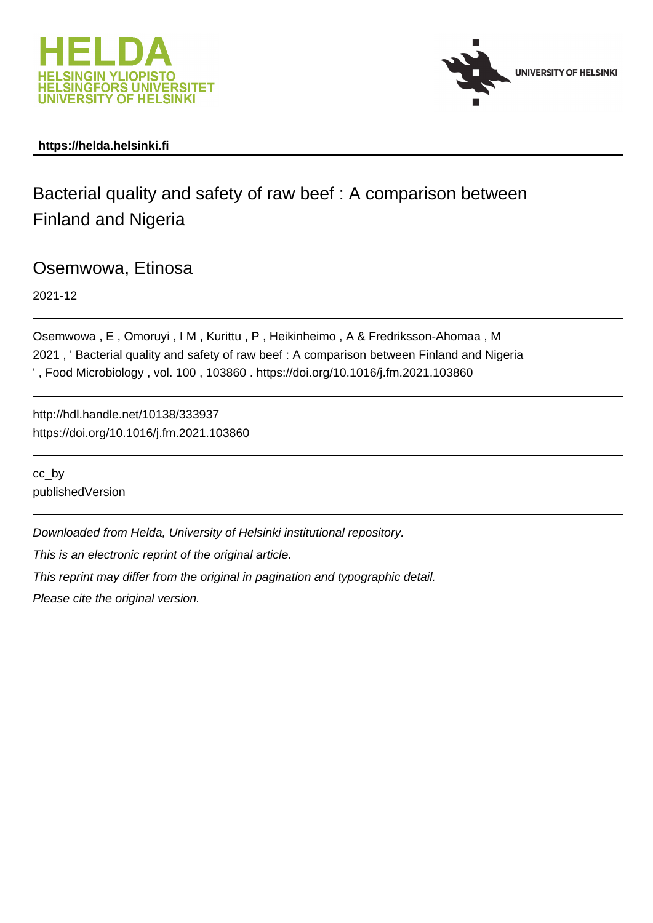



## **https://helda.helsinki.fi**

Bacterial quality and safety of raw beef : A comparison between Finland and Nigeria

Osemwowa, Etinosa

2021-12

Osemwowa , E , Omoruyi , I M , Kurittu , P , Heikinheimo , A & Fredriksson-Ahomaa , M 2021 , ' Bacterial quality and safety of raw beef : A comparison between Finland and Nigeria ' , Food Microbiology , vol. 100 , 103860 . https://doi.org/10.1016/j.fm.2021.103860

http://hdl.handle.net/10138/333937 https://doi.org/10.1016/j.fm.2021.103860

cc\_by publishedVersion

Downloaded from Helda, University of Helsinki institutional repository.

This is an electronic reprint of the original article.

This reprint may differ from the original in pagination and typographic detail.

Please cite the original version.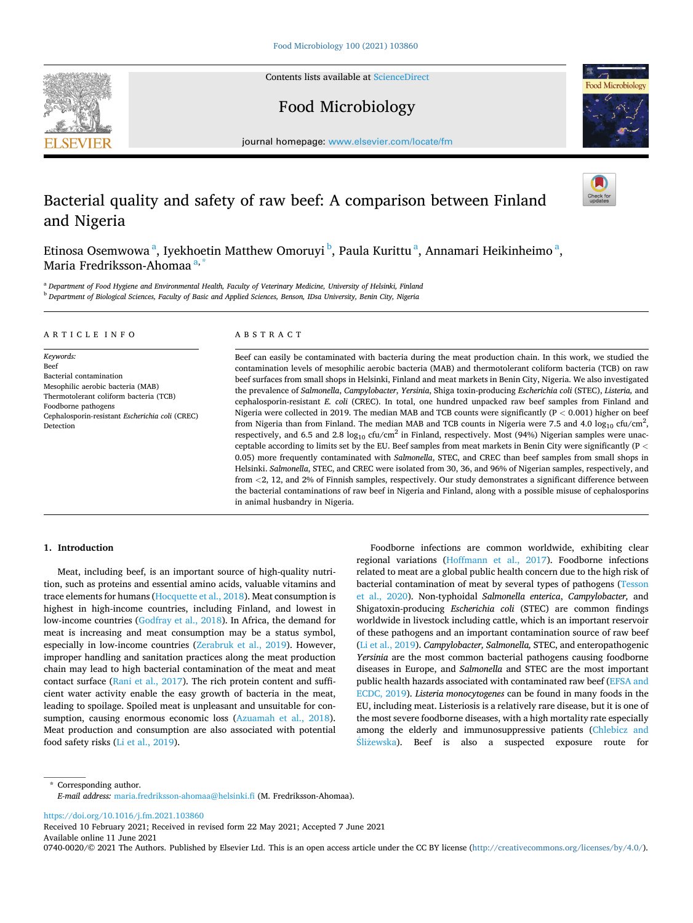Contents lists available at [ScienceDirect](www.sciencedirect.com/science/journal/07400020)



Food Microbiology



journal homepage: [www.elsevier.com/locate/fm](https://www.elsevier.com/locate/fm)

# Bacterial quality and safety of raw beef: A comparison between Finland and Nigeria

Etinosa Osemwowa <sup>a</sup>, Iyekhoetin Matthew Omoruyi <sup>b</sup>, Paula Kurittu <sup>a</sup>, Annamari Heikinheimo <sup>a</sup>, Maria Fredriksson-Ahomaa<sup>a,</sup>

<sup>a</sup> *Department of Food Hygiene and Environmental Health, Faculty of Veterinary Medicine, University of Helsinki, Finland* <sup>b</sup> *Department of Biological Sciences, Faculty of Basic and Applied Sciences, Benson, IDsa University, Benin City, Nigeria* 

#### ARTICLE INFO

*Keywords:*  Beef Bacterial contamination Mesophilic aerobic bacteria (MAB) Thermotolerant coliform bacteria (TCB) Foodborne pathogens Cephalosporin-resistant *Escherichia coli* (CREC) Detection

#### ABSTRACT

Beef can easily be contaminated with bacteria during the meat production chain. In this work, we studied the contamination levels of mesophilic aerobic bacteria (MAB) and thermotolerant coliform bacteria (TCB) on raw beef surfaces from small shops in Helsinki, Finland and meat markets in Benin City, Nigeria. We also investigated the prevalence of *Salmonella*, *Campylobacter*, *Yersinia*, Shiga toxin-producing *Escherichia coli* (STEC), *Listeria,* and cephalosporin-resistant *E. coli* (CREC). In total, one hundred unpacked raw beef samples from Finland and Nigeria were collected in 2019. The median MAB and TCB counts were significantly (P *<* 0.001) higher on beef from Nigeria than from Finland. The median MAB and TCB counts in Nigeria were 7.5 and 4.0  $log_{10}$  cfu/cm<sup>2</sup>, respectively, and 6.5 and 2.8  $log_{10}$  cfu/cm<sup>2</sup> in Finland, respectively. Most (94%) Nigerian samples were unacceptable according to limits set by the EU. Beef samples from meat markets in Benin City were significantly (P *<* 0.05) more frequently contaminated with *Salmonella*, STEC, and CREC than beef samples from small shops in Helsinki. *Salmonella*, STEC, and CREC were isolated from 30, 36, and 96% of Nigerian samples, respectively, and from *<*2, 12, and 2% of Finnish samples, respectively. Our study demonstrates a significant difference between the bacterial contaminations of raw beef in Nigeria and Finland, along with a possible misuse of cephalosporins in animal husbandry in Nigeria.

## **1. Introduction**

Meat, including beef, is an important source of high-quality nutrition, such as proteins and essential amino acids, valuable vitamins and trace elements for humans (Hocquette et al., 2018). Meat consumption is highest in high-income countries, including Finland, and lowest in low-income countries (Godfray et al., 2018). In Africa, the demand for meat is increasing and meat consumption may be a status symbol, especially in low-income countries (Zerabruk et al., 2019). However, improper handling and sanitation practices along the meat production chain may lead to high bacterial contamination of the meat and meat contact surface (Rani et al., 2017). The rich protein content and sufficient water activity enable the easy growth of bacteria in the meat, leading to spoilage. Spoiled meat is unpleasant and unsuitable for consumption, causing enormous economic loss (Azuamah et al., 2018). Meat production and consumption are also associated with potential food safety risks (Li et al., 2019).

Foodborne infections are common worldwide, exhibiting clear regional variations (Hoffmann et al., 2017). Foodborne infections related to meat are a global public health concern due to the high risk of bacterial contamination of meat by several types of pathogens (Tesson et al., 2020). Non-typhoidal *Salmonella enterica*, *Campylobacter,* and Shigatoxin-producing *Escherichia coli* (STEC) are common findings worldwide in livestock including cattle, which is an important reservoir of these pathogens and an important contamination source of raw beef (Li et al., 2019). *Campylobacter, Salmonella,* STEC, and enteropathogenic *Yersinia* are the most common bacterial pathogens causing foodborne diseases in Europe, and *Salmonella* and STEC are the most important public health hazards associated with contaminated raw beef (EFSA and ECDC, 2019). *Listeria monocytogenes* can be found in many foods in the EU, including meat. Listeriosis is a relatively rare disease, but it is one of the most severe foodborne diseases, with a high mortality rate especially among the elderly and immunosuppressive patients (Chlebicz and  $S$ liżewska). Beef is also a suspected exposure route for

\* Corresponding author. *E-mail address:* [maria.fredriksson-ahomaa@helsinki.fi](mailto:maria.fredriksson-ahomaa@helsinki.fi) (M. Fredriksson-Ahomaa).

<https://doi.org/10.1016/j.fm.2021.103860>

Available online 11 June 2021 Received 10 February 2021; Received in revised form 22 May 2021; Accepted 7 June 2021

0740-0020/© 2021 The Authors. Published by Elsevier Ltd. This is an open access article under the CC BY license [\(http://creativecommons.org/licenses/by/4.0/\)](http://creativecommons.org/licenses/by/4.0/).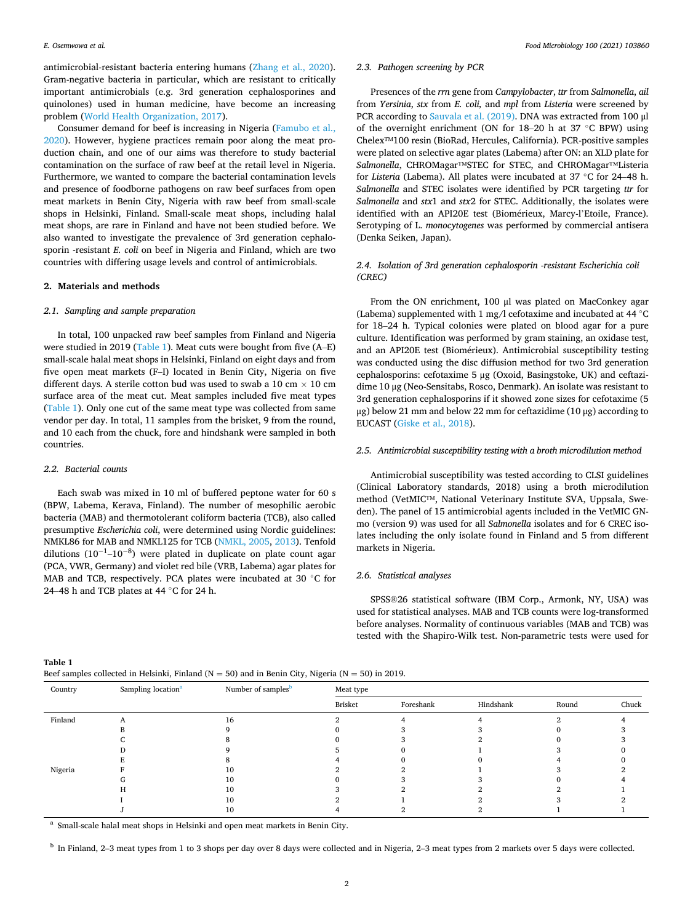antimicrobial-resistant bacteria entering humans (Zhang et al., 2020). Gram-negative bacteria in particular, which are resistant to critically important antimicrobials (e.g. 3rd generation cephalosporines and quinolones) used in human medicine, have become an increasing problem (World Health Organization, 2017).

Consumer demand for beef is increasing in Nigeria (Famubo et al., 2020). However, hygiene practices remain poor along the meat production chain, and one of our aims was therefore to study bacterial contamination on the surface of raw beef at the retail level in Nigeria. Furthermore, we wanted to compare the bacterial contamination levels and presence of foodborne pathogens on raw beef surfaces from open meat markets in Benin City, Nigeria with raw beef from small-scale shops in Helsinki, Finland. Small-scale meat shops, including halal meat shops, are rare in Finland and have not been studied before. We also wanted to investigate the prevalence of 3rd generation cephalosporin -resistant *E. coli* on beef in Nigeria and Finland, which are two countries with differing usage levels and control of antimicrobials.

## **2. Materials and methods**

#### *2.1. Sampling and sample preparation*

In total, 100 unpacked raw beef samples from Finland and Nigeria were studied in 2019 (Table 1). Meat cuts were bought from five (A-E) small-scale halal meat shops in Helsinki, Finland on eight days and from five open meat markets (F–I) located in Benin City, Nigeria on five different days. A sterile cotton bud was used to swab a 10 cm  $\times$  10 cm surface area of the meat cut. Meat samples included five meat types (Table 1). Only one cut of the same meat type was collected from same vendor per day. In total, 11 samples from the brisket, 9 from the round, and 10 each from the chuck, fore and hindshank were sampled in both countries.

## *2.2. Bacterial counts*

Each swab was mixed in 10 ml of buffered peptone water for 60 s (BPW, Labema, Kerava, Finland). The number of mesophilic aerobic bacteria (MAB) and thermotolerant coliform bacteria (TCB), also called presumptive *Escherichia coli*, were determined using Nordic guidelines: NMKL86 for MAB and NMKL125 for TCB (NMKL, 2005, 2013). Tenfold dilutions (10<sup>-1</sup>-10<sup>-8</sup>) were plated in duplicate on plate count agar (PCA, VWR, Germany) and violet red bile (VRB, Labema) agar plates for MAB and TCB, respectively. PCA plates were incubated at 30 °C for 24–48 h and TCB plates at 44 ◦C for 24 h.

## *2.3. Pathogen screening by PCR*

Presences of the *rrn* gene from *Campylobacter*, *ttr* from *Salmonella*, *ail*  from *Yersinia*, *stx* from *E. coli,* and *mpl* from *Listeria* were screened by PCR according to Sauvala et al. (2019). DNA was extracted from 100 μl of the overnight enrichment (ON for 18–20 h at 37 ◦C BPW) using Chelex™100 resin (BioRad, Hercules, California). PCR-positive samples were plated on selective agar plates (Labema) after ON: an XLD plate for *Salmonella*, CHROMagar™STEC for STEC, and CHROMagar™Listeria for *Listeria* (Labema). All plates were incubated at 37 ◦C for 24–48 h. *Salmonella* and STEC isolates were identified by PCR targeting *ttr* for *Salmonella* and *stx*1 and *stx*2 for STEC. Additionally, the isolates were identified with an API20E test (Biomérieux, Marcy-l'Etoile, France). Serotyping of L. *monocytogenes* was performed by commercial antisera (Denka Seiken, Japan).

## *2.4. Isolation of 3rd generation cephalosporin -resistant Escherichia coli (CREC)*

From the ON enrichment, 100 μl was plated on MacConkey agar (Labema) supplemented with 1 mg/l cefotaxime and incubated at 44 ◦C for 18–24 h. Typical colonies were plated on blood agar for a pure culture. Identification was performed by gram staining, an oxidase test, and an API20E test (Biomérieux). Antimicrobial susceptibility testing was conducted using the disc diffusion method for two 3rd generation cephalosporins: cefotaxime 5 μg (Oxoid, Basingstoke, UK) and ceftazidime 10 μg (Neo-Sensitabs, Rosco, Denmark). An isolate was resistant to 3rd generation cephalosporins if it showed zone sizes for cefotaxime (5 μg) below 21 mm and below 22 mm for ceftazidime (10 μg) according to EUCAST (Giske et al., 2018).

## *2.5. Antimicrobial susceptibility testing with a broth microdilution method*

Antimicrobial susceptibility was tested according to CLSI guidelines (Clinical Laboratory standards, 2018) using a broth microdilution method (VetMIC™, National Veterinary Institute SVA, Uppsala, Sweden). The panel of 15 antimicrobial agents included in the VetMIC GNmo (version 9) was used for all *Salmonella* isolates and for 6 CREC isolates including the only isolate found in Finland and 5 from different markets in Nigeria.

## *2.6. Statistical analyses*

SPSS®26 statistical software (IBM Corp., Armonk, NY, USA) was used for statistical analyses. MAB and TCB counts were log-transformed before analyses. Normality of continuous variables (MAB and TCB) was tested with the Shapiro-Wilk test. Non-parametric tests were used for

**Table 1** 

| Beef samples collected in Helsinki, Finland ( $N = 50$ ) and in Benin City, Nigeria ( $N = 50$ ) in 2019. |  |
|-----------------------------------------------------------------------------------------------------------|--|
|-----------------------------------------------------------------------------------------------------------|--|

| Country | Sampling location <sup>a</sup> | Number of samples <sup>b</sup> | Meat type |           |           |       |       |
|---------|--------------------------------|--------------------------------|-----------|-----------|-----------|-------|-------|
|         |                                |                                | Brisket   | Foreshank | Hindshank | Round | Chuck |
| Finland |                                | 16                             |           |           |           |       |       |
|         |                                |                                |           |           |           |       |       |
|         |                                |                                |           |           |           |       |       |
|         |                                |                                |           |           |           |       |       |
|         |                                |                                |           |           |           |       |       |
| Nigeria |                                |                                |           |           |           |       |       |
|         |                                | 10                             |           |           |           |       |       |
|         |                                | 10                             |           |           |           |       |       |
|         |                                | ۱0                             |           |           |           |       |       |
|         |                                |                                |           |           |           |       |       |

<sup>a</sup> Small-scale halal meat shops in Helsinki and open meat markets in Benin City.

<sup>b</sup> In Finland, 2–3 meat types from 1 to 3 shops per day over 8 days were collected and in Nigeria, 2–3 meat types from 2 markets over 5 days were collected.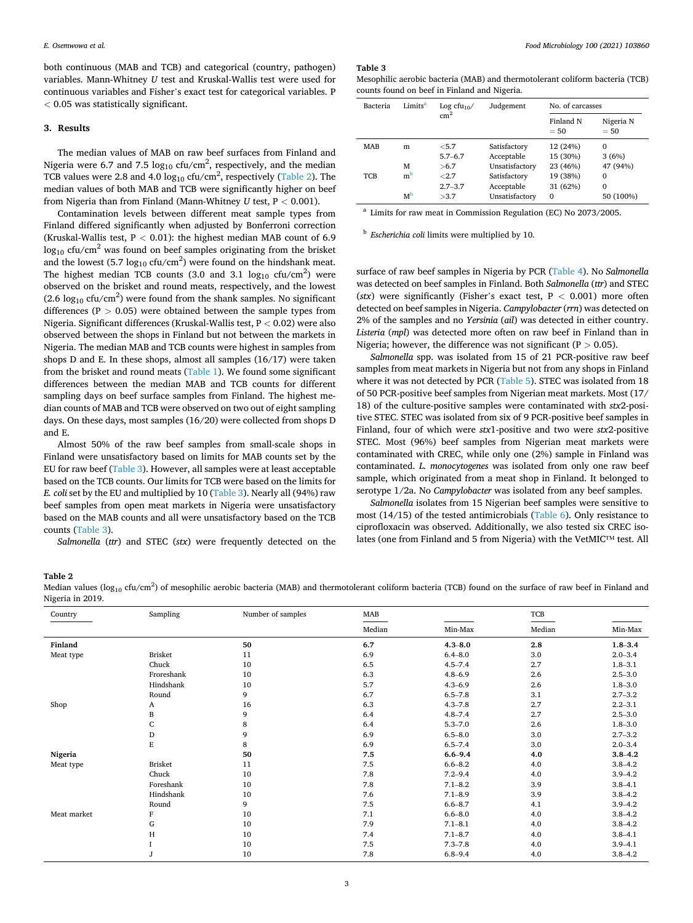both continuous (MAB and TCB) and categorical (country, pathogen) variables. Mann-Whitney *U* test and Kruskal-Wallis test were used for continuous variables and Fisher's exact test for categorical variables. P *<* 0.05 was statistically significant.

## **3. Results**

The median values of MAB on raw beef surfaces from Finland and Nigeria were 6.7 and 7.5  $log_{10}$  cfu/cm<sup>2</sup>, respectively, and the median TCB values were 2.8 and 4.0  $\log_{10}$  cfu/cm<sup>2</sup>, respectively (Table 2). The median values of both MAB and TCB were significantly higher on beef from Nigeria than from Finland (Mann-Whitney *U* test, P *<* 0.001).

Contamination levels between different meat sample types from Finland differed significantly when adjusted by Bonferroni correction (Kruskal-Wallis test, P *<* 0.01): the highest median MAB count of 6.9  $\log_{10}$  cfu/cm<sup>2</sup> was found on beef samples originating from the brisket and the lowest (5.7  $log_{10}$  cfu/cm<sup>2</sup>) were found on the hindshank meat. The highest median TCB counts (3.0 and 3.1  $log_{10}$  cfu/cm<sup>2</sup>) were observed on the brisket and round meats, respectively, and the lowest  $(2.6 \log_{10} ctu/cm^2)$  were found from the shank samples. No significant differences (P *>* 0.05) were obtained between the sample types from Nigeria. Significant differences (Kruskal-Wallis test, P *<* 0.02) were also observed between the shops in Finland but not between the markets in Nigeria. The median MAB and TCB counts were highest in samples from shops D and E. In these shops, almost all samples (16/17) were taken from the brisket and round meats (Table 1). We found some significant differences between the median MAB and TCB counts for different sampling days on beef surface samples from Finland. The highest median counts of MAB and TCB were observed on two out of eight sampling days. On these days, most samples (16/20) were collected from shops D and E.

Almost 50% of the raw beef samples from small-scale shops in Finland were unsatisfactory based on limits for MAB counts set by the EU for raw beef (Table 3). However, all samples were at least acceptable based on the TCB counts. Our limits for TCB were based on the limits for *E. coli set by the EU and multiplied by 10 (Table 3). Nearly all (94%) raw* beef samples from open meat markets in Nigeria were unsatisfactory based on the MAB counts and all were unsatisfactory based on the TCB counts (Table 3).

*Salmonella* (*ttr*) and STEC (*stx*) were frequently detected on the

**Table 3** 

Mesophilic aerobic bacteria (MAB) and thermotolerant coliform bacteria (TCB) counts found on beef in Finland and Nigeria.

| Bacteria   | Limits <sup>a</sup> | Log cfu <sub>10</sub> / | Judgement      | No. of carcasses    |                     |  |
|------------|---------------------|-------------------------|----------------|---------------------|---------------------|--|
|            |                     | $\text{cm}^2$           |                | Finland N<br>$= 50$ | Nigeria N<br>$= 50$ |  |
| <b>MAB</b> | m                   | < 5.7                   | Satisfactory   | 12 (24%)            | $\Omega$            |  |
|            |                     | $5.7 - 6.7$             | Acceptable     | 15 (30%)            | 3(6%)               |  |
|            | м                   | >6.7                    | Unsatisfactory | 23 (46%)            | 47 (94%)            |  |
| TCB        | m <sup>b</sup>      | < 2.7                   | Satisfactory   | 19 (38%)            | $\Omega$            |  |
|            |                     | $2.7 - 3.7$             | Acceptable     | 31 (62%)            | $\Omega$            |  |
|            | мb                  | >3.7                    | Unsatisfactory | $\Omega$            | 50 (100%)           |  |

<sup>a</sup> Limits for raw meat in Commission Regulation (EC) No 2073/2005.

<sup>b</sup> *Escherichia coli* limits were multiplied by 10.

surface of raw beef samples in Nigeria by PCR (Table 4). No *Salmonella*  was detected on beef samples in Finland. Both *Salmonella* (*ttr*) and STEC (*stx*) were significantly (Fisher's exact test, P *<* 0.001) more often detected on beef samples in Nigeria. *Campylobacter* (*rrn*) was detected on 2% of the samples and no *Yersinia* (*ail*) was detected in either country. *Listeria* (*mpl*) was detected more often on raw beef in Finland than in Nigeria; however, the difference was not significant (P *>* 0.05).

*Salmonella* spp. was isolated from 15 of 21 PCR-positive raw beef samples from meat markets in Nigeria but not from any shops in Finland where it was not detected by PCR (Table 5). STEC was isolated from 18 of 50 PCR-positive beef samples from Nigerian meat markets. Most (17/ 18) of the culture-positive samples were contaminated with *stx*2-positive STEC. STEC was isolated from six of 9 PCR-positive beef samples in Finland, four of which were *stx*1-positive and two were *stx*2-positive STEC. Most (96%) beef samples from Nigerian meat markets were contaminated with CREC, while only one (2%) sample in Finland was contaminated. *L. monocytogenes* was isolated from only one raw beef sample, which originated from a meat shop in Finland. It belonged to serotype 1/2a. No *Campylobacter* was isolated from any beef samples.

*Salmonella* isolates from 15 Nigerian beef samples were sensitive to most (14/15) of the tested antimicrobials (Table 6). Only resistance to ciprofloxacin was observed. Additionally, we also tested six CREC isolates (one from Finland and 5 from Nigeria) with the VetMIC™ test. All

#### **Table 2**

Median values (log<sub>10</sub> cfu/cm<sup>2</sup>) of mesophilic aerobic bacteria (MAB) and thermotolerant coliform bacteria (TCB) found on the surface of raw beef in Finland and Nigeria in 2019.

| Country     | Sampling       | Number of samples | MAB    |             | TCB    |             |
|-------------|----------------|-------------------|--------|-------------|--------|-------------|
|             |                |                   | Median | Min-Max     | Median | Min-Max     |
| Finland     |                | 50                | 6.7    | $4.3 - 8.0$ | 2.8    | $1.8 - 3.4$ |
| Meat type   | <b>Brisket</b> | 11                | 6.9    | $6.4 - 8.0$ | 3.0    | $2.0 - 3.4$ |
|             | Chuck          | 10                | 6.5    | $4.5 - 7.4$ | 2.7    | $1.8 - 3.1$ |
|             | Froreshank     | 10                | 6.3    | $4.8 - 6.9$ | 2.6    | $2.5 - 3.0$ |
|             | Hindshank      | 10                | 5.7    | $4.3 - 6.9$ | 2.6    | $1.8 - 3.0$ |
|             | Round          | 9                 | 6.7    | $6.5 - 7.8$ | 3.1    | $2.7 - 3.2$ |
| Shop        | A              | 16                | 6.3    | $4.3 - 7.8$ | 2.7    | $2.2 - 3.1$ |
|             | B              | 9                 | 6.4    | $4.8 - 7.4$ | 2.7    | $2.5 - 3.0$ |
|             | C              | 8                 | 6.4    | $5.3 - 7.0$ | 2.6    | $1.8 - 3.0$ |
|             | D              | 9                 | 6.9    | $6.5 - 8.0$ | 3.0    | $2.7 - 3.2$ |
|             | E              | 8                 | 6.9    | $6.5 - 7.4$ | 3.0    | $2.0 - 3.4$ |
| Nigeria     |                | 50                | 7.5    | $6.6 - 9.4$ | 4.0    | $3.8 - 4.2$ |
| Meat type   | Brisket        | 11                | 7.5    | $6.6 - 8.2$ | 4.0    | $3.8 - 4.2$ |
|             | Chuck          | 10                | 7.8    | $7.2 - 9.4$ | 4.0    | $3.9 - 4.2$ |
|             | Foreshank      | 10                | 7.8    | $7.1 - 8.2$ | 3.9    | $3.8 - 4.1$ |
|             | Hindshank      | 10                | 7.6    | $7.1 - 8.9$ | 3.9    | $3.8 - 4.2$ |
|             | Round          | 9                 | 7.5    | $6.6 - 8.7$ | 4.1    | $3.9 - 4.2$ |
| Meat market | F              | 10                | 7.1    | $6.6 - 8.0$ | 4.0    | $3.8 - 4.2$ |
|             | G              | 10                | 7.9    | $7.1 - 8.1$ | 4.0    | $3.8 - 4.2$ |
|             | Н              | 10                | 7.4    | $7.1 - 8.7$ | 4.0    | $3.8 - 4.1$ |
|             |                | 10                | 7.5    | $7.3 - 7.8$ | 4.0    | $3.9 - 4.1$ |
|             |                | 10                | 7.8    | $6.8 - 9.4$ | 4.0    | $3.8 - 4.2$ |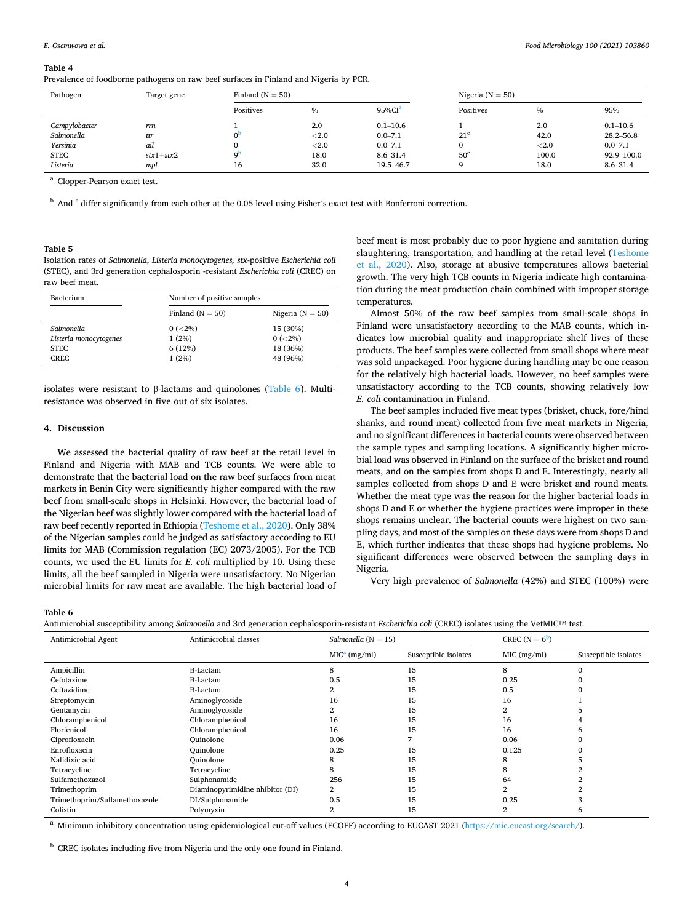#### **Table 4**

|  |  |  | Prevalence of foodborne pathogens on raw beef surfaces in Finland and Nigeria by PCR. |  |
|--|--|--|---------------------------------------------------------------------------------------|--|
|--|--|--|---------------------------------------------------------------------------------------|--|

| Pathogen      | Target gene |           | Finland ( $N = 50$ ) |              | Nigeria ( $N = 50$ ) |               |               |
|---------------|-------------|-----------|----------------------|--------------|----------------------|---------------|---------------|
|               |             | Positives | $\frac{0}{0}$        | $95\%CIa$    | Positives            | $\frac{0}{0}$ | 95%           |
| Campylobacter | rrn         |           | 2.0                  | $0.1 - 10.6$ |                      | 2.0           | $0.1 - 10.6$  |
| Salmonella    | ttr         |           | $<$ 2.0              | $0.0 - 7.1$  | $21^{\circ}$         | 42.0          | $28.2 - 56.8$ |
| Yersinia      | ail         |           | $<$ 2.0              | $0.0 - 7.1$  | 0                    | < 2.0         | $0.0 - 7.1$   |
| <b>STEC</b>   | $stx1+stx2$ | οÞ        | 18.0                 | $8.6 - 31.4$ | 50 <sup>c</sup>      | 100.0         | 92.9-100.0    |
| Listeria      | mpl         | 16        | 32.0                 | 19.5-46.7    | Ω                    | 18.0          | $8.6 - 31.4$  |

<sup>a</sup> Clopper-Pearson exact test.

 $<sup>b</sup>$  And  $<sup>c</sup>$  differ significantly from each other at the 0.05 level using Fisher's exact test with Bonferroni correction.</sup></sup>

#### **Table 5**

Isolation rates of *Salmonella*, *Listeria monocytogenes, stx*-positive *Escherichia coli*  (STEC), and 3rd generation cephalosporin -resistant *Escherichia coli* (CREC) on raw beef meat.

| <b>Bacterium</b>       | Number of positive samples |                      |  |  |
|------------------------|----------------------------|----------------------|--|--|
|                        | Finland $(N = 50)$         | Nigeria ( $N = 50$ ) |  |  |
| Salmonella             | $0 (< 2\%)$                | 15 (30%)             |  |  |
| Listeria monocytogenes | 1(2%)                      | $0 (< 2\%)$          |  |  |
| STEC.                  | 6(12%)                     | 18 (36%)             |  |  |
| CREC.                  | 1(2%)                      | 48 (96%)             |  |  |

isolates were resistant to β-lactams and quinolones (Table 6). Multiresistance was observed in five out of six isolates.

## **4. Discussion**

We assessed the bacterial quality of raw beef at the retail level in Finland and Nigeria with MAB and TCB counts. We were able to demonstrate that the bacterial load on the raw beef surfaces from meat markets in Benin City were significantly higher compared with the raw beef from small-scale shops in Helsinki. However, the bacterial load of the Nigerian beef was slightly lower compared with the bacterial load of raw beef recently reported in Ethiopia (Teshome et al., 2020). Only 38% of the Nigerian samples could be judged as satisfactory according to EU limits for MAB (Commission regulation (EC) 2073/2005). For the TCB counts, we used the EU limits for *E. coli* multiplied by 10. Using these limits, all the beef sampled in Nigeria were unsatisfactory. No Nigerian microbial limits for raw meat are available. The high bacterial load of beef meat is most probably due to poor hygiene and sanitation during slaughtering, transportation, and handling at the retail level (Teshome et al., 2020). Also, storage at abusive temperatures allows bacterial growth. The very high TCB counts in Nigeria indicate high contamination during the meat production chain combined with improper storage temperatures.

Almost 50% of the raw beef samples from small-scale shops in Finland were unsatisfactory according to the MAB counts, which indicates low microbial quality and inappropriate shelf lives of these products. The beef samples were collected from small shops where meat was sold unpackaged. Poor hygiene during handling may be one reason for the relatively high bacterial loads. However, no beef samples were unsatisfactory according to the TCB counts, showing relatively low *E. coli* contamination in Finland.

The beef samples included five meat types (brisket, chuck, fore/hind shanks, and round meat) collected from five meat markets in Nigeria, and no significant differences in bacterial counts were observed between the sample types and sampling locations. A significantly higher microbial load was observed in Finland on the surface of the brisket and round meats, and on the samples from shops D and E. Interestingly, nearly all samples collected from shops D and E were brisket and round meats. Whether the meat type was the reason for the higher bacterial loads in shops D and E or whether the hygiene practices were improper in these shops remains unclear. The bacterial counts were highest on two sampling days, and most of the samples on these days were from shops D and E, which further indicates that these shops had hygiene problems. No significant differences were observed between the sampling days in Nigeria.

Very high prevalence of *Salmonella* (42%) and STEC (100%) were

#### **Table 6**

Antimicrobial susceptibility among *Salmonella* and 3rd generation cephalosporin-resistant *Escherichia coli* (CREC) isolates using the VetMIC™ test.

| Antimicrobial Agent           | Antimicrobial classes           | Salmonella ( $N = 15$ )  |                      | CREC $(N = 6^b)$ |                      |
|-------------------------------|---------------------------------|--------------------------|----------------------|------------------|----------------------|
|                               |                                 | MIC <sup>a</sup> (mg/ml) | Susceptible isolates | MIC (mg/ml)      | Susceptible isolates |
| Ampicillin                    | <b>B-Lactam</b>                 | 8                        | 15                   | 8                |                      |
| Cefotaxime                    | <b>B-Lactam</b>                 | 0.5                      | 15                   | 0.25             |                      |
| Ceftazidime                   | <b>B-Lactam</b>                 |                          | 15                   | 0.5              |                      |
| Streptomycin                  | Aminoglycoside                  | 16                       | 15                   | 16               |                      |
| Gentamycin                    | Aminoglycoside                  |                          | 15                   |                  |                      |
| Chloramphenicol               | Chloramphenicol                 | 16                       | 15                   | 16               |                      |
| Florfenicol                   | Chloramphenicol                 | 16                       | 15                   | 16               |                      |
| Ciprofloxacin                 | Quinolone                       | 0.06                     |                      | 0.06             |                      |
| Enrofloxacin                  | <b>Ouinolone</b>                | 0.25                     | 15                   | 0.125            |                      |
| Nalidixic acid                | <b>Ouinolone</b>                |                          | 15                   | 8                |                      |
| Tetracycline                  | Tetracycline                    | 8                        | 15                   | 8                |                      |
| Sulfamethoxazol               | Sulphonamide                    | 256                      | 15                   | 64               |                      |
| Trimethoprim                  | Diaminopyrimidine nhibitor (DI) | 2                        | 15                   |                  |                      |
| Trimethoprim/Sulfamethoxazole | DI/Sulphonamide                 | 0.5                      | 15                   | 0.25             |                      |
| Colistin                      | Polymyxin                       | $\overline{2}$           | 15                   | $\overline{2}$   | h                    |
|                               |                                 |                          |                      |                  |                      |

<sup>a</sup> Minimum inhibitory concentration using epidemiological cut-off values (ECOFF) according to EUCAST 2021 (<https://mic.eucast.org/search/>).

<sup>b</sup> CREC isolates including five from Nigeria and the only one found in Finland.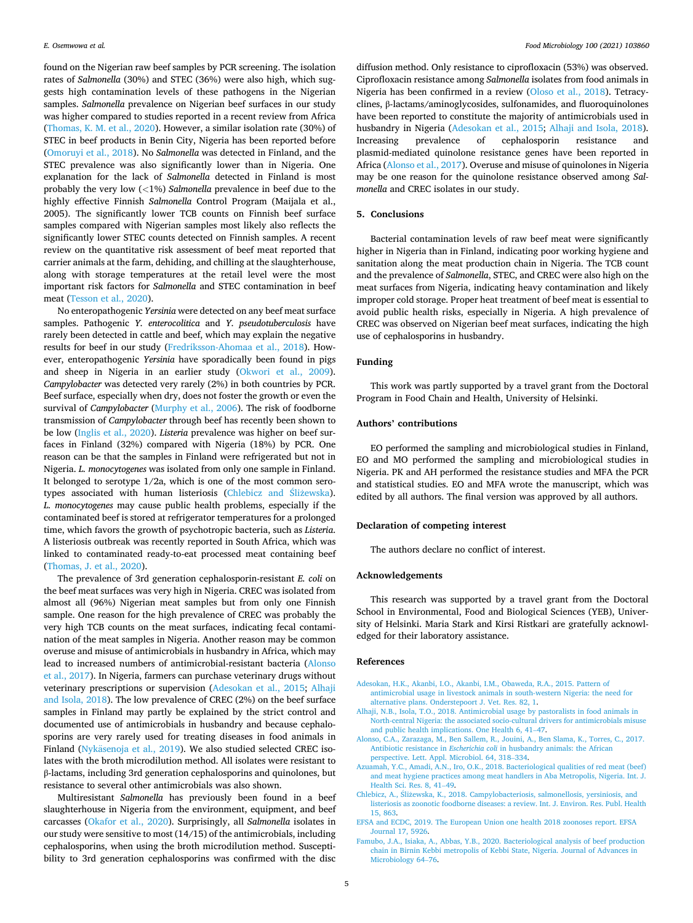found on the Nigerian raw beef samples by PCR screening. The isolation rates of *Salmonella* (30%) and STEC (36%) were also high, which suggests high contamination levels of these pathogens in the Nigerian samples. *Salmonella* prevalence on Nigerian beef surfaces in our study was higher compared to studies reported in a recent review from Africa (Thomas, K. M. et al., 2020). However, a similar isolation rate (30%) of STEC in beef products in Benin City, Nigeria has been reported before (Omoruyi et al., 2018). No *Salmonella* was detected in Finland, and the STEC prevalence was also significantly lower than in Nigeria. One explanation for the lack of *Salmonella* detected in Finland is most probably the very low (*<*1%) *Salmonella* prevalence in beef due to the highly effective Finnish *Salmonella* Control Program (Maijala et al., 2005). The significantly lower TCB counts on Finnish beef surface samples compared with Nigerian samples most likely also reflects the significantly lower STEC counts detected on Finnish samples. A recent review on the quantitative risk assessment of beef meat reported that carrier animals at the farm, dehiding, and chilling at the slaughterhouse, along with storage temperatures at the retail level were the most important risk factors for *Salmonella* and STEC contamination in beef meat (Tesson et al., 2020).

No enteropathogenic *Yersinia* were detected on any beef meat surface samples. Pathogenic *Y. enterocolitica* and *Y. pseudotuberculosis* have rarely been detected in cattle and beef, which may explain the negative results for beef in our study (Fredriksson-Ahomaa et al., 2018). However, enteropathogenic *Yersinia* have sporadically been found in pigs and sheep in Nigeria in an earlier study (Okwori et al., 2009). *Campylobacter* was detected very rarely (2%) in both countries by PCR. Beef surface, especially when dry, does not foster the growth or even the survival of *Campylobacter* (Murphy et al., 2006). The risk of foodborne transmission of *Campylobacter* through beef has recently been shown to be low (Inglis et al., 2020). *Listeria* prevalence was higher on beef surfaces in Finland (32%) compared with Nigeria (18%) by PCR. One reason can be that the samples in Finland were refrigerated but not in Nigeria. *L. monocytogenes* was isolated from only one sample in Finland. It belonged to serotype 1/2a, which is one of the most common serotypes associated with human listeriosis (Chlebicz and Sliżewska). *L. monocytogenes* may cause public health problems, especially if the contaminated beef is stored at refrigerator temperatures for a prolonged time, which favors the growth of psychotropic bacteria, such as *Listeria*. A listeriosis outbreak was recently reported in South Africa, which was linked to contaminated ready-to-eat processed meat containing beef (Thomas, J. et al., 2020).

The prevalence of 3rd generation cephalosporin-resistant *E. coli* on the beef meat surfaces was very high in Nigeria. CREC was isolated from almost all (96%) Nigerian meat samples but from only one Finnish sample. One reason for the high prevalence of CREC was probably the very high TCB counts on the meat surfaces, indicating fecal contamination of the meat samples in Nigeria. Another reason may be common overuse and misuse of antimicrobials in husbandry in Africa, which may lead to increased numbers of antimicrobial-resistant bacteria (Alonso et al., 2017). In Nigeria, farmers can purchase veterinary drugs without veterinary prescriptions or supervision (Adesokan et al., 2015; Alhaji and Isola, 2018). The low prevalence of CREC (2%) on the beef surface samples in Finland may partly be explained by the strict control and documented use of antimicrobials in husbandry and because cephalosporins are very rarely used for treating diseases in food animals in Finland (Nykäsenoja et al., 2019). We also studied selected CREC isolates with the broth microdilution method. All isolates were resistant to β-lactams, including 3rd generation cephalosporins and quinolones, but resistance to several other antimicrobials was also shown.

Multiresistant *Salmonella* has previously been found in a beef slaughterhouse in Nigeria from the environment, equipment, and beef carcasses (Okafor et al., 2020). Surprisingly, all *Salmonella* isolates in our study were sensitive to most (14/15) of the antimicrobials, including cephalosporins, when using the broth microdilution method. Susceptibility to 3rd generation cephalosporins was confirmed with the disc

diffusion method. Only resistance to ciprofloxacin (53%) was observed. Ciprofloxacin resistance among *Salmonella* isolates from food animals in Nigeria has been confirmed in a review (Oloso et al., 2018). Tetracyclines, β-lactams/aminoglycosides, sulfonamides, and fluoroquinolones have been reported to constitute the majority of antimicrobials used in husbandry in Nigeria (Adesokan et al., 2015; Alhaji and Isola, 2018). Increasing prevalence of cephalosporin resistance and plasmid-mediated quinolone resistance genes have been reported in Africa (Alonso et al., 2017). Overuse and misuse of quinolones in Nigeria may be one reason for the quinolone resistance observed among *Salmonella* and CREC isolates in our study.

## **5. Conclusions**

Bacterial contamination levels of raw beef meat were significantly higher in Nigeria than in Finland, indicating poor working hygiene and sanitation along the meat production chain in Nigeria. The TCB count and the prevalence of *Salmonella*, STEC, and CREC were also high on the meat surfaces from Nigeria, indicating heavy contamination and likely improper cold storage. Proper heat treatment of beef meat is essential to avoid public health risks, especially in Nigeria. A high prevalence of CREC was observed on Nigerian beef meat surfaces, indicating the high use of cephalosporins in husbandry.

#### **Funding**

This work was partly supported by a travel grant from the Doctoral Program in Food Chain and Health, University of Helsinki.

## **Authors' contributions**

EO performed the sampling and microbiological studies in Finland, EO and MO performed the sampling and microbiological studies in Nigeria. PK and AH performed the resistance studies and MFA the PCR and statistical studies. EO and MFA wrote the manuscript, which was edited by all authors. The final version was approved by all authors.

#### **Declaration of competing interest**

The authors declare no conflict of interest.

## **Acknowledgements**

This research was supported by a travel grant from the Doctoral School in Environmental, Food and Biological Sciences (YEB), University of Helsinki. Maria Stark and Kirsi Ristkari are gratefully acknowledged for their laboratory assistance.

#### **References**

- [Adesokan, H.K., Akanbi, I.O., Akanbi, I.M., Obaweda, R.A., 2015. Pattern of](http://refhub.elsevier.com/S0740-0020(21)00125-8/sref1) [antimicrobial usage in livestock animals in south-western Nigeria: the need for](http://refhub.elsevier.com/S0740-0020(21)00125-8/sref1)  [alternative plans. Onderstepoort J. Vet. Res. 82, 1](http://refhub.elsevier.com/S0740-0020(21)00125-8/sref1).
- [Alhaji, N.B., Isola, T.O., 2018. Antimicrobial usage by pastoralists in food animals in](http://refhub.elsevier.com/S0740-0020(21)00125-8/sref2)  [North-central Nigeria: the associated socio-cultural drivers for antimicrobials misuse](http://refhub.elsevier.com/S0740-0020(21)00125-8/sref2)  [and public health implications. One Health 6, 41](http://refhub.elsevier.com/S0740-0020(21)00125-8/sref2)–47.
- [Alonso, C.A., Zarazaga, M., Ben Sallem, R., Jouini, A., Ben Slama, K., Torres, C., 2017.](http://refhub.elsevier.com/S0740-0020(21)00125-8/sref3) Antibiotic resistance in *Escherichia coli* [in husbandry animals: the African](http://refhub.elsevier.com/S0740-0020(21)00125-8/sref3)  [perspective. Lett. Appl. Microbiol. 64, 318](http://refhub.elsevier.com/S0740-0020(21)00125-8/sref3)–334.
- [Azuamah, Y.C., Amadi, A.N., Iro, O.K., 2018. Bacteriological qualities of red meat \(beef\)](http://refhub.elsevier.com/S0740-0020(21)00125-8/sref4)  [and meat hygiene practices among meat handlers in Aba Metropolis, Nigeria. Int. J.](http://refhub.elsevier.com/S0740-0020(21)00125-8/sref4)  [Health Sci. Res. 8, 41](http://refhub.elsevier.com/S0740-0020(21)00125-8/sref4)–49.
- Chlebicz, A., Śliżewska, [K., 2018. Campylobacteriosis, salmonellosis, yersiniosis, and](http://refhub.elsevier.com/S0740-0020(21)00125-8/sref5) [listeriosis as zoonotic foodborne diseases: a review. Int. J. Environ. Res. Publ. Health](http://refhub.elsevier.com/S0740-0020(21)00125-8/sref5)  [15, 863](http://refhub.elsevier.com/S0740-0020(21)00125-8/sref5).
- [EFSA and ECDC, 2019. The European Union one health 2018 zoonoses report. EFSA](http://refhub.elsevier.com/S0740-0020(21)00125-8/sref6) [Journal 17, 5926.](http://refhub.elsevier.com/S0740-0020(21)00125-8/sref6)
- [Famubo, J.A., Isiaka, A., Abbas, Y.B., 2020. Bacteriological analysis of beef production](http://refhub.elsevier.com/S0740-0020(21)00125-8/sref7) [chain in Birnin Kebbi metropolis of Kebbi State, Nigeria. Journal of Advances in](http://refhub.elsevier.com/S0740-0020(21)00125-8/sref7) [Microbiology 64](http://refhub.elsevier.com/S0740-0020(21)00125-8/sref7)–76.